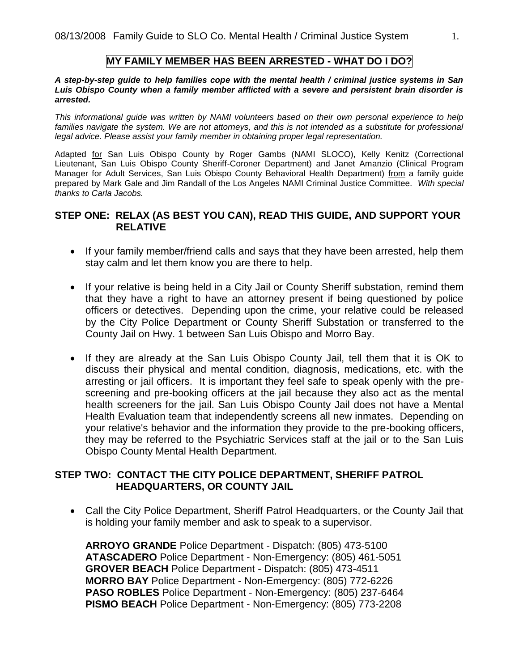#### **MY FAMILY MEMBER HAS BEEN ARRESTED - WHAT DO I DO?**

#### *A step-by-step guide to help families cope with the mental health / criminal justice systems in San Luis Obispo County when a family member afflicted with a severe and persistent brain disorder is arrested.*

*This informational guide was written by NAMI volunteers based on their own personal experience to help*  families navigate the system. We are not attorneys, and this is not intended as a substitute for professional *legal advice. Please assist your family member in obtaining proper legal representation.* 

Adapted for San Luis Obispo County by Roger Gambs (NAMI SLOCO), Kelly Kenitz (Correctional Lieutenant, San Luis Obispo County Sheriff-Coroner Department) and Janet Amanzio (Clinical Program Manager for Adult Services, San Luis Obispo County Behavioral Health Department) from a family guide prepared by Mark Gale and Jim Randall of the Los Angeles NAMI Criminal Justice Committee. *With special thanks to Carla Jacobs.*

### **STEP ONE: RELAX (AS BEST YOU CAN), READ THIS GUIDE, AND SUPPORT YOUR RELATIVE**

- If your family member/friend calls and says that they have been arrested, help them stay calm and let them know you are there to help.
- If your relative is being held in a City Jail or County Sheriff substation, remind them that they have a right to have an attorney present if being questioned by police officers or detectives. Depending upon the crime, your relative could be released by the City Police Department or County Sheriff Substation or transferred to the County Jail on Hwy. 1 between San Luis Obispo and Morro Bay.
- If they are already at the San Luis Obispo County Jail, tell them that it is OK to discuss their physical and mental condition, diagnosis, medications, etc. with the arresting or jail officers. It is important they feel safe to speak openly with the prescreening and pre-booking officers at the jail because they also act as the mental health screeners for the jail. San Luis Obispo County Jail does not have a Mental Health Evaluation team that independently screens all new inmates. Depending on your relative's behavior and the information they provide to the pre-booking officers, they may be referred to the Psychiatric Services staff at the jail or to the San Luis Obispo County Mental Health Department.

### **STEP TWO: CONTACT THE CITY POLICE DEPARTMENT, SHERIFF PATROL HEADQUARTERS, OR COUNTY JAIL**

• Call the City Police Department, Sheriff Patrol Headquarters, or the County Jail that is holding your family member and ask to speak to a supervisor.

**ARROYO GRANDE** Police Department - Dispatch: (805) 473-5100 **ATASCADERO** Police Department - Non-Emergency: (805) 461-5051 **GROVER BEACH** Police Department - Dispatch: (805) 473-4511 **MORRO BAY** Police Department - Non-Emergency: (805) 772-6226 **PASO ROBLES** Police Department - Non-Emergency: (805) 237-6464 **PISMO BEACH** Police Department - Non-Emergency: (805) 773-2208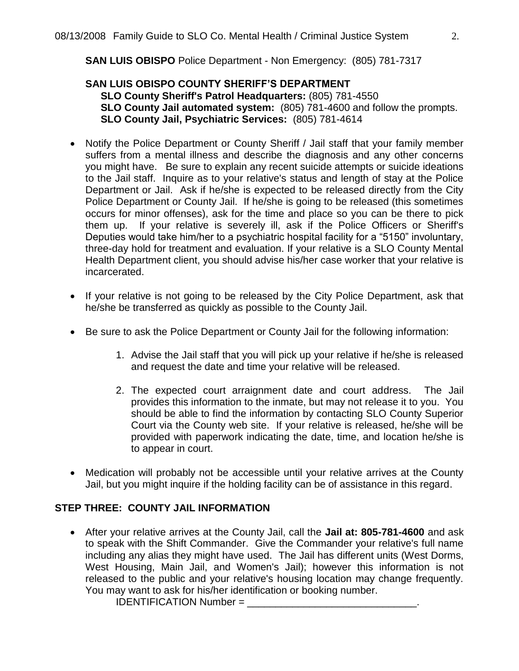**SAN LUIS OBISPO** Police Department - Non Emergency: (805) 781-7317

# **SAN LUIS OBISPO COUNTY SHERIFF'S DEPARTMENT SLO County Sheriff's Patrol Headquarters:** (805) 781-4550 **SLO County Jail automated system:** (805) 781-4600 and follow the prompts. **SLO County Jail, Psychiatric Services:** (805) 781-4614

- Notify the Police Department or County Sheriff / Jail staff that your family member suffers from a mental illness and describe the diagnosis and any other concerns you might have. Be sure to explain any recent suicide attempts or suicide ideations to the Jail staff. Inquire as to your relative's status and length of stay at the Police Department or Jail. Ask if he/she is expected to be released directly from the City Police Department or County Jail. If he/she is going to be released (this sometimes occurs for minor offenses), ask for the time and place so you can be there to pick them up. If your relative is severely ill, ask if the Police Officers or Sheriff's Deputies would take him/her to a psychiatric hospital facility for a "5150" involuntary, three-day hold for treatment and evaluation. If your relative is a SLO County Mental Health Department client, you should advise his/her case worker that your relative is incarcerated.
- If your relative is not going to be released by the City Police Department, ask that he/she be transferred as quickly as possible to the County Jail.
- Be sure to ask the Police Department or County Jail for the following information:
	- 1. Advise the Jail staff that you will pick up your relative if he/she is released and request the date and time your relative will be released.
	- 2. The expected court arraignment date and court address. The Jail provides this information to the inmate, but may not release it to you. You should be able to find the information by contacting SLO County Superior Court via the County web site. If your relative is released, he/she will be provided with paperwork indicating the date, time, and location he/she is to appear in court.
- Medication will probably not be accessible until your relative arrives at the County Jail, but you might inquire if the holding facility can be of assistance in this regard.

# **STEP THREE: COUNTY JAIL INFORMATION**

 After your relative arrives at the County Jail, call the **Jail at: 805-781-4600** and ask to speak with the Shift Commander. Give the Commander your relative's full name including any alias they might have used. The Jail has different units (West Dorms, West Housing, Main Jail, and Women's Jail); however this information is not released to the public and your relative's housing location may change frequently. You may want to ask for his/her identification or booking number.

IDENTIFICATION Number =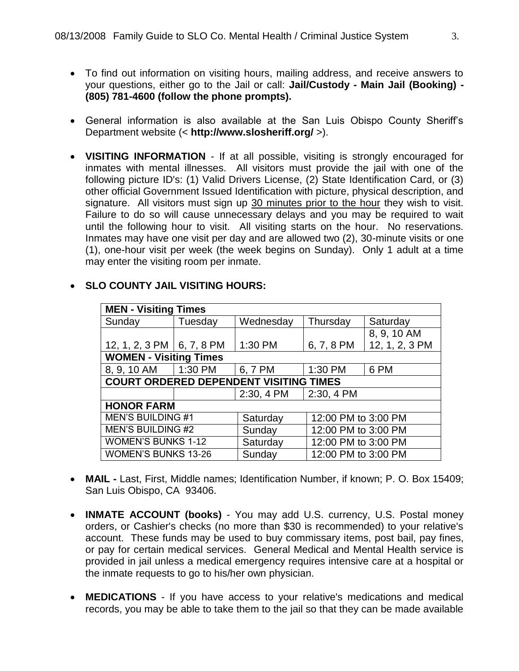- To find out information on visiting hours, mailing address, and receive answers to your questions, either go to the Jail or call: **Jail/Custody - Main Jail (Booking) - (805) 781-4600 (follow the phone prompts).**
- General information is also available at the San Luis Obispo County Sheriff's Department website (< **http://www.slosheriff.org/** >).
- **VISITING INFORMATION** If at all possible, visiting is strongly encouraged for inmates with mental illnesses. All visitors must provide the jail with one of the following picture ID's: (1) Valid Drivers License, (2) State Identification Card, or (3) other official Government Issued Identification with picture, physical description, and signature. All visitors must sign up 30 minutes prior to the hour they wish to visit. Failure to do so will cause unnecessary delays and you may be required to wait until the following hour to visit. All visiting starts on the hour. No reservations. Inmates may have one visit per day and are allowed two (2), 30-minute visits or one (1), one-hour visit per week (the week begins on Sunday). Only 1 adult at a time may enter the visiting room per inmate.

| <b>MEN - Visiting Times</b>                   |         |            |                     |                |
|-----------------------------------------------|---------|------------|---------------------|----------------|
| Sunday                                        | Tuesday | Wednesday  | Thursday            | Saturday       |
|                                               |         |            |                     | 8, 9, 10 AM    |
| 12, 1, 2, 3 PM $\mid$ 6, 7, 8 PM              |         | 1:30 PM    | 6, 7, 8 PM          | 12, 1, 2, 3 PM |
| <b>WOMEN - Visiting Times</b>                 |         |            |                     |                |
| 8, 9, 10 AM                                   | 1:30 PM | 6, 7 PM    | 1:30 PM             | 6 PM           |
| <b>COURT ORDERED DEPENDENT VISITING TIMES</b> |         |            |                     |                |
|                                               |         | 2:30, 4 PM | 2:30, 4 PM          |                |
| <b>HONOR FARM</b>                             |         |            |                     |                |
| <b>MEN'S BUILDING #1</b>                      |         | Saturday   | 12:00 PM to 3:00 PM |                |
| <b>MEN'S BUILDING #2</b>                      |         | Sunday     | 12:00 PM to 3:00 PM |                |
| <b>WOMEN'S BUNKS 1-12</b>                     |         | Saturday   | 12:00 PM to 3:00 PM |                |
| <b>WOMEN'S BUNKS 13-26</b>                    |         | Sunday     | 12:00 PM to 3:00 PM |                |

# **SLO COUNTY JAIL VISITING HOURS:**

- **MAIL -** Last, First, Middle names; Identification Number, if known; P. O. Box 15409; San Luis Obispo, CA 93406.
- **INMATE ACCOUNT (books)** You may add U.S. currency, U.S. Postal money orders, or Cashier's checks (no more than \$30 is recommended) to your relative's account. These funds may be used to buy commissary items, post bail, pay fines, or pay for certain medical services. General Medical and Mental Health service is provided in jail unless a medical emergency requires intensive care at a hospital or the inmate requests to go to his/her own physician.
- **MEDICATIONS** If you have access to your relative's medications and medical records, you may be able to take them to the jail so that they can be made available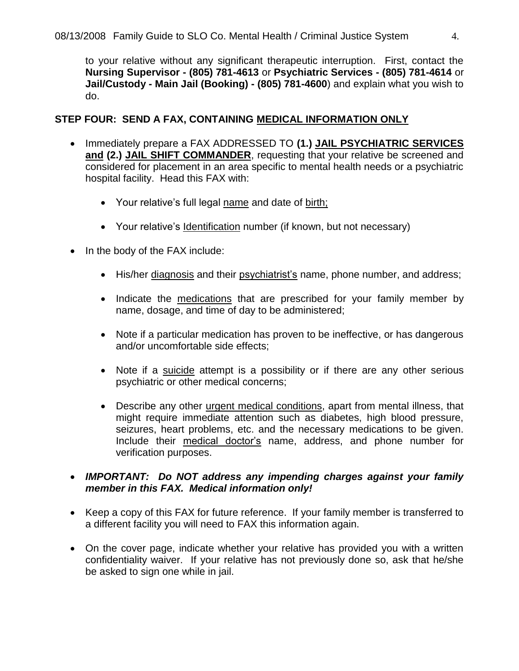to your relative without any significant therapeutic interruption. First, contact the **Nursing Supervisor - (805) 781-4613** or **Psychiatric Services - (805) 781-4614** or **Jail/Custody - Main Jail (Booking) - (805) 781-4600**) and explain what you wish to do.

# **STEP FOUR: SEND A FAX, CONTAINING MEDICAL INFORMATION ONLY**

- Immediately prepare a FAX ADDRESSED TO **(1.) JAIL PSYCHIATRIC SERVICES and (2.) JAIL SHIFT COMMANDER**, requesting that your relative be screened and considered for placement in an area specific to mental health needs or a psychiatric hospital facility. Head this FAX with:
	- Your relative's full legal name and date of birth;
	- Your relative's Identification number (if known, but not necessary)
- In the body of the FAX include:
	- His/her diagnosis and their psychiatrist's name, phone number, and address;
	- Indicate the medications that are prescribed for your family member by name, dosage, and time of day to be administered;
	- Note if a particular medication has proven to be ineffective, or has dangerous and/or uncomfortable side effects;
	- Note if a suicide attempt is a possibility or if there are any other serious psychiatric or other medical concerns;
	- Describe any other urgent medical conditions, apart from mental illness, that might require immediate attention such as diabetes, high blood pressure, seizures, heart problems, etc. and the necessary medications to be given. Include their medical doctor's name, address, and phone number for verification purposes.

# *IMPORTANT: Do NOT address any impending charges against your family member in this FAX. Medical information only!*

- Keep a copy of this FAX for future reference. If your family member is transferred to a different facility you will need to FAX this information again.
- On the cover page, indicate whether your relative has provided you with a written confidentiality waiver. If your relative has not previously done so, ask that he/she be asked to sign one while in jail.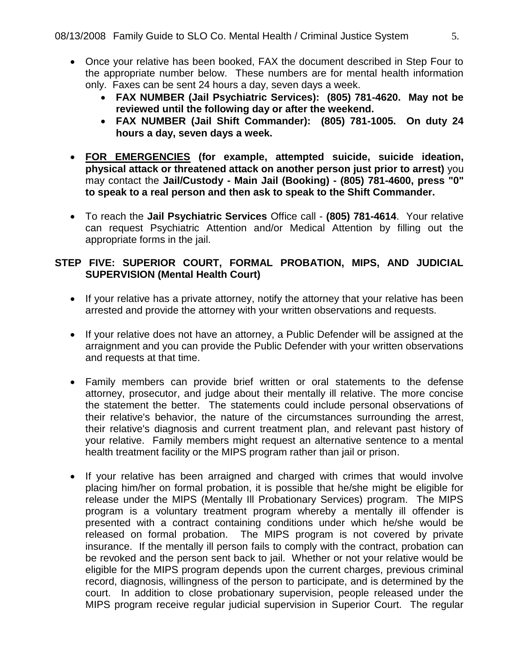- Once your relative has been booked, FAX the document described in Step Four to the appropriate number below. These numbers are for mental health information only. Faxes can be sent 24 hours a day, seven days a week.
	- **FAX NUMBER (Jail Psychiatric Services): (805) 781-4620. May not be reviewed until the following day or after the weekend.**
	- **FAX NUMBER (Jail Shift Commander): (805) 781-1005. On duty 24 hours a day, seven days a week.**
- **FOR EMERGENCIES (for example, attempted suicide, suicide ideation, physical attack or threatened attack on another person just prior to arrest)** you may contact the **Jail/Custody - Main Jail (Booking) - (805) 781-4600, press "0" to speak to a real person and then ask to speak to the Shift Commander.**
- To reach the **Jail Psychiatric Services** Office call **(805) 781-4614**. Your relative can request Psychiatric Attention and/or Medical Attention by filling out the appropriate forms in the jail.

# **STEP FIVE: SUPERIOR COURT, FORMAL PROBATION, MIPS, AND JUDICIAL SUPERVISION (Mental Health Court)**

- If your relative has a private attorney, notify the attorney that your relative has been arrested and provide the attorney with your written observations and requests.
- If your relative does not have an attorney, a Public Defender will be assigned at the arraignment and you can provide the Public Defender with your written observations and requests at that time.
- Family members can provide brief written or oral statements to the defense attorney, prosecutor, and judge about their mentally ill relative. The more concise the statement the better. The statements could include personal observations of their relative's behavior, the nature of the circumstances surrounding the arrest, their relative's diagnosis and current treatment plan, and relevant past history of your relative. Family members might request an alternative sentence to a mental health treatment facility or the MIPS program rather than jail or prison.
- If your relative has been arraigned and charged with crimes that would involve placing him/her on formal probation, it is possible that he/she might be eligible for release under the MIPS (Mentally Ill Probationary Services) program. The MIPS program is a voluntary treatment program whereby a mentally ill offender is presented with a contract containing conditions under which he/she would be released on formal probation. The MIPS program is not covered by private insurance. If the mentally ill person fails to comply with the contract, probation can be revoked and the person sent back to jail. Whether or not your relative would be eligible for the MIPS program depends upon the current charges, previous criminal record, diagnosis, willingness of the person to participate, and is determined by the court. In addition to close probationary supervision, people released under the MIPS program receive regular judicial supervision in Superior Court. The regular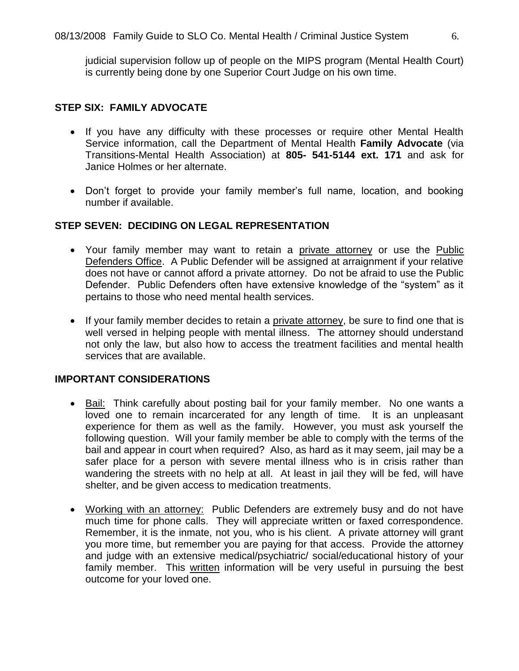judicial supervision follow up of people on the MIPS program (Mental Health Court) is currently being done by one Superior Court Judge on his own time.

# **STEP SIX: FAMILY ADVOCATE**

- If you have any difficulty with these processes or require other Mental Health Service information, call the Department of Mental Health **Family Advocate** (via Transitions-Mental Health Association) at **805- 541-5144 ext. 171** and ask for Janice Holmes or her alternate.
- Don't forget to provide your family member's full name, location, and booking number if available.

# **STEP SEVEN: DECIDING ON LEGAL REPRESENTATION**

- Your family member may want to retain a private attorney or use the Public Defenders Office. A Public Defender will be assigned at arraignment if your relative does not have or cannot afford a private attorney. Do not be afraid to use the Public Defender. Public Defenders often have extensive knowledge of the "system" as it pertains to those who need mental health services.
- If your family member decides to retain a private attorney, be sure to find one that is well versed in helping people with mental illness. The attorney should understand not only the law, but also how to access the treatment facilities and mental health services that are available.

### **IMPORTANT CONSIDERATIONS**

- Bail: Think carefully about posting bail for your family member. No one wants a loved one to remain incarcerated for any length of time. It is an unpleasant experience for them as well as the family. However, you must ask yourself the following question. Will your family member be able to comply with the terms of the bail and appear in court when required? Also, as hard as it may seem, jail may be a safer place for a person with severe mental illness who is in crisis rather than wandering the streets with no help at all. At least in jail they will be fed, will have shelter, and be given access to medication treatments.
- Working with an attorney: Public Defenders are extremely busy and do not have much time for phone calls. They will appreciate written or faxed correspondence. Remember, it is the inmate, not you, who is his client. A private attorney will grant you more time, but remember you are paying for that access. Provide the attorney and judge with an extensive medical/psychiatric/ social/educational history of your family member. This written information will be very useful in pursuing the best outcome for your loved one.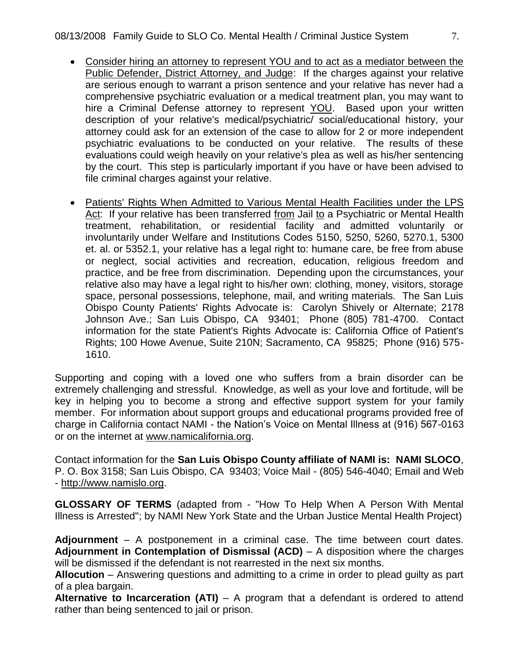- Consider hiring an attorney to represent YOU and to act as a mediator between the Public Defender, District Attorney, and Judge: If the charges against your relative are serious enough to warrant a prison sentence and your relative has never had a comprehensive psychiatric evaluation or a medical treatment plan, you may want to hire a Criminal Defense attorney to represent YOU. Based upon your written description of your relative's medical/psychiatric/ social/educational history, your attorney could ask for an extension of the case to allow for 2 or more independent psychiatric evaluations to be conducted on your relative. The results of these evaluations could weigh heavily on your relative's plea as well as his/her sentencing by the court. This step is particularly important if you have or have been advised to file criminal charges against your relative.
- Patients' Rights When Admitted to Various Mental Health Facilities under the LPS Act: If your relative has been transferred from Jail to a Psychiatric or Mental Health treatment, rehabilitation, or residential facility and admitted voluntarily or involuntarily under Welfare and Institutions Codes 5150, 5250, 5260, 5270.1, 5300 et. al. or 5352.1, your relative has a legal right to: humane care, be free from abuse or neglect, social activities and recreation, education, religious freedom and practice, and be free from discrimination. Depending upon the circumstances, your relative also may have a legal right to his/her own: clothing, money, visitors, storage space, personal possessions, telephone, mail, and writing materials. The San Luis Obispo County Patients' Rights Advocate is: Carolyn Shively or Alternate; 2178 Johnson Ave.; San Luis Obispo, CA 93401; Phone (805) 781-4700. Contact information for the state Patient's Rights Advocate is: California Office of Patient's Rights; 100 Howe Avenue, Suite 210N; Sacramento, CA 95825; Phone (916) 575- 1610.

Supporting and coping with a loved one who suffers from a brain disorder can be extremely challenging and stressful. Knowledge, as well as your love and fortitude, will be key in helping you to become a strong and effective support system for your family member. For information about support groups and educational programs provided free of charge in California contact NAMI - the Nation's Voice on Mental Illness at (916) 567-0163 or on the internet at [www.namicalifornia.org.](http://www.namicalifornia.org/)

Contact information for the **San Luis Obispo County affiliate of NAMI is: NAMI SLOCO**, P. O. Box 3158; San Luis Obispo, CA 93403; Voice Mail - (805) 546-4040; Email and Web - http://www.namislo.org.

**GLOSSARY OF TERMS** (adapted from - "How To Help When A Person With Mental Illness is Arrested"; by NAMI New York State and the Urban Justice Mental Health Project)

**Adjournment** – A postponement in a criminal case. The time between court dates. **Adjournment in Contemplation of Dismissal (ACD)** – A disposition where the charges will be dismissed if the defendant is not rearrested in the next six months.

**Allocution** – Answering questions and admitting to a crime in order to plead guilty as part of a plea bargain.

**Alternative to Incarceration (ATI)** – A program that a defendant is ordered to attend rather than being sentenced to jail or prison.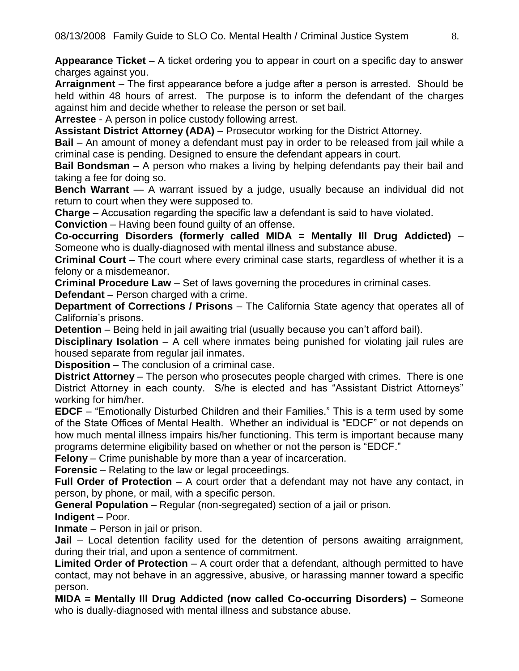**Appearance Ticket** – A ticket ordering you to appear in court on a specific day to answer charges against you.

**Arraignment** – The first appearance before a judge after a person is arrested. Should be held within 48 hours of arrest. The purpose is to inform the defendant of the charges against him and decide whether to release the person or set bail.

**Arrestee** - A person in police custody following arrest.

**Assistant District Attorney (ADA)** – Prosecutor working for the District Attorney.

**Bail** – An amount of money a defendant must pay in order to be released from jail while a criminal case is pending. Designed to ensure the defendant appears in court.

**Bail Bondsman** – A person who makes a living by helping defendants pay their bail and taking a fee for doing so.

**Bench Warrant** — A warrant issued by a judge, usually because an individual did not return to court when they were supposed to.

**Charge** – Accusation regarding the specific law a defendant is said to have violated.

**Conviction** – Having been found guilty of an offense.

**Co-occurring Disorders (formerly called MIDA = Mentally Ill Drug Addicted)** – Someone who is dually-diagnosed with mental illness and substance abuse.

**Criminal Court** – The court where every criminal case starts, regardless of whether it is a felony or a misdemeanor.

**Criminal Procedure Law** – Set of laws governing the procedures in criminal cases.

**Defendant** – Person charged with a crime.

**Department of Corrections / Prisons** – The California State agency that operates all of California's prisons.

**Detention** – Being held in jail awaiting trial (usually because you can't afford bail).

**Disciplinary Isolation** – A cell where inmates being punished for violating jail rules are housed separate from regular jail inmates.

**Disposition** – The conclusion of a criminal case.

**District Attorney** – The person who prosecutes people charged with crimes. There is one District Attorney in each county. S/he is elected and has "Assistant District Attorneys" working for him/her.

**EDCF** – "Emotionally Disturbed Children and their Families." This is a term used by some of the State Offices of Mental Health. Whether an individual is "EDCF" or not depends on how much mental illness impairs his/her functioning. This term is important because many programs determine eligibility based on whether or not the person is "EDCF."

**Felony** – Crime punishable by more than a year of incarceration.

**Forensic** – Relating to the law or legal proceedings.

**Full Order of Protection** – A court order that a defendant may not have any contact, in person, by phone, or mail, with a specific person.

**General Population** – Regular (non-segregated) section of a jail or prison.

**Indigent** – Poor.

**Inmate** – Person in jail or prison.

**Jail** – Local detention facility used for the detention of persons awaiting arraignment, during their trial, and upon a sentence of commitment.

**Limited Order of Protection** – A court order that a defendant, although permitted to have contact, may not behave in an aggressive, abusive, or harassing manner toward a specific person.

**MIDA = Mentally Ill Drug Addicted (now called Co-occurring Disorders)** – Someone who is dually-diagnosed with mental illness and substance abuse.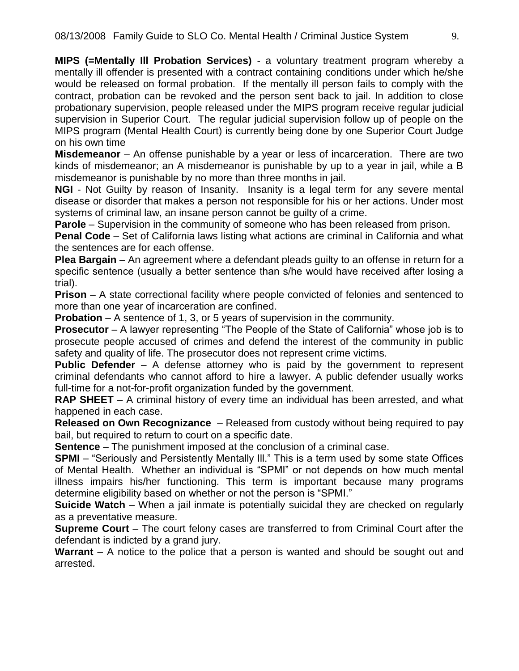**MIPS (=Mentally Ill Probation Services)** - a voluntary treatment program whereby a mentally ill offender is presented with a contract containing conditions under which he/she would be released on formal probation. If the mentally ill person fails to comply with the contract, probation can be revoked and the person sent back to jail. In addition to close probationary supervision, people released under the MIPS program receive regular judicial supervision in Superior Court. The regular judicial supervision follow up of people on the MIPS program (Mental Health Court) is currently being done by one Superior Court Judge on his own time

**Misdemeanor** – An offense punishable by a year or less of incarceration. There are two kinds of misdemeanor; an A misdemeanor is punishable by up to a year in jail, while a B misdemeanor is punishable by no more than three months in jail.

**NGI** - Not Guilty by reason of Insanity. Insanity is a legal term for any severe mental disease or disorder that makes a person not responsible for his or her actions. Under most systems of criminal law, an insane person cannot be guilty of a crime.

**Parole** – Supervision in the community of someone who has been released from prison.

**Penal Code** – Set of California laws listing what actions are criminal in California and what the sentences are for each offense.

**Plea Bargain** – An agreement where a defendant pleads guilty to an offense in return for a specific sentence (usually a better sentence than s/he would have received after losing a trial).

**Prison** – A state correctional facility where people convicted of felonies and sentenced to more than one year of incarceration are confined.

**Probation** – A sentence of 1, 3, or 5 years of supervision in the community.

**Prosecutor** – A lawyer representing "The People of the State of California" whose job is to prosecute people accused of crimes and defend the interest of the community in public safety and quality of life. The prosecutor does not represent crime victims.

**Public Defender** – A defense attorney who is paid by the government to represent criminal defendants who cannot afford to hire a lawyer. A public defender usually works full-time for a not-for-profit organization funded by the government.

**RAP SHEET** – A criminal history of every time an individual has been arrested, and what happened in each case.

**Released on Own Recognizance** – Released from custody without being required to pay bail, but required to return to court on a specific date.

**Sentence** – The punishment imposed at the conclusion of a criminal case.

**SPMI** – "Seriously and Persistently Mentally III." This is a term used by some state Offices of Mental Health. Whether an individual is "SPMI" or not depends on how much mental illness impairs his/her functioning. This term is important because many programs determine eligibility based on whether or not the person is "SPMI."

**Suicide Watch** – When a jail inmate is potentially suicidal they are checked on regularly as a preventative measure.

**Supreme Court** – The court felony cases are transferred to from Criminal Court after the defendant is indicted by a grand jury.

**Warrant** – A notice to the police that a person is wanted and should be sought out and arrested.